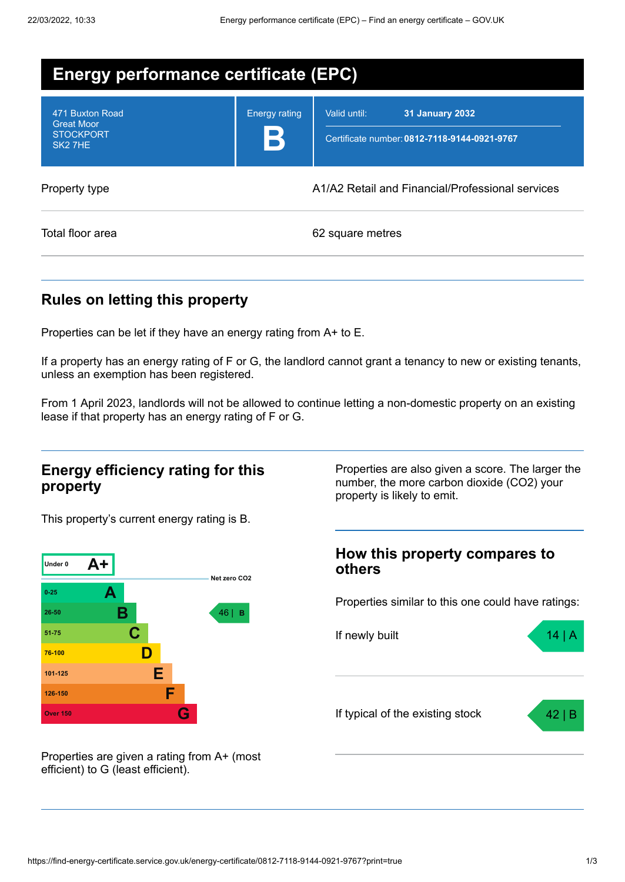| Energy performance certificate (EPC)                                            |                      |                                                                                        |  |
|---------------------------------------------------------------------------------|----------------------|----------------------------------------------------------------------------------------|--|
| 471 Buxton Road<br><b>Great Moor</b><br><b>STOCKPORT</b><br>SK <sub>2</sub> 7HE | <b>Energy rating</b> | Valid until:<br><b>31 January 2032</b><br>Certificate number: 0812-7118-9144-0921-9767 |  |
| Property type                                                                   |                      | A1/A2 Retail and Financial/Professional services                                       |  |
| Total floor area                                                                |                      | 62 square metres                                                                       |  |

## **Rules on letting this property**

Properties can be let if they have an energy rating from A+ to E.

If a property has an energy rating of F or G, the landlord cannot grant a tenancy to new or existing tenants, unless an exemption has been registered.

From 1 April 2023, landlords will not be allowed to continue letting a non-domestic property on an existing lease if that property has an energy rating of F or G.

### **Energy efficiency rating for this property**

This property's current energy rating is B.



Properties are given a rating from A+ (most efficient) to G (least efficient).

Properties are also given a score. The larger the number, the more carbon dioxide (CO2) your property is likely to emit.

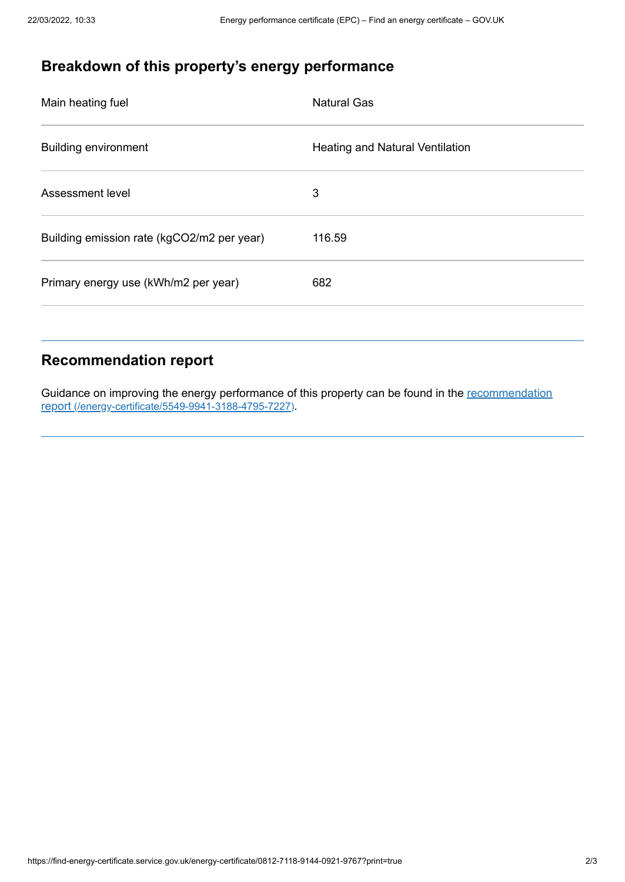# **Breakdown of this property's energy performance**

| <b>Natural Gas</b>                     |
|----------------------------------------|
| <b>Heating and Natural Ventilation</b> |
| 3                                      |
| 116.59                                 |
| 682                                    |
|                                        |

### **Recommendation report**

Guidance on improving the energy performance of this property can be found in the recommendation report [\(/energy-certificate/5549-9941-3188-4795-7227\)](https://find-energy-certificate.service.gov.uk/energy-certificate/5549-9941-3188-4795-7227).